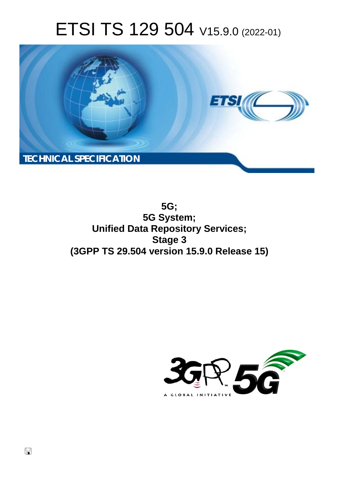# ETSI TS 129 504 V15.9.0 (2022-01)



**5G; 5G System; Unified Data Repository Services; Stage 3 (3GPP TS 29.504 version 15.9.0 Release 15)** 

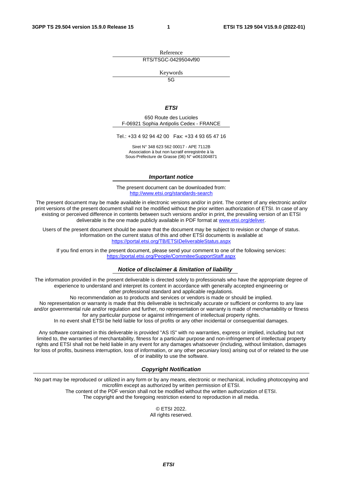Reference RTS/TSGC-0429504vf90

Keywords

 $\overline{5G}$ 

#### *ETSI*

650 Route des Lucioles F-06921 Sophia Antipolis Cedex - FRANCE

Tel.: +33 4 92 94 42 00 Fax: +33 4 93 65 47 16

Siret N° 348 623 562 00017 - APE 7112B Association à but non lucratif enregistrée à la Sous-Préfecture de Grasse (06) N° w061004871

#### *Important notice*

The present document can be downloaded from: <http://www.etsi.org/standards-search>

The present document may be made available in electronic versions and/or in print. The content of any electronic and/or print versions of the present document shall not be modified without the prior written authorization of ETSI. In case of any existing or perceived difference in contents between such versions and/or in print, the prevailing version of an ETSI deliverable is the one made publicly available in PDF format at [www.etsi.org/deliver](http://www.etsi.org/deliver).

Users of the present document should be aware that the document may be subject to revision or change of status. Information on the current status of this and other ETSI documents is available at <https://portal.etsi.org/TB/ETSIDeliverableStatus.aspx>

If you find errors in the present document, please send your comment to one of the following services: <https://portal.etsi.org/People/CommiteeSupportStaff.aspx>

#### *Notice of disclaimer & limitation of liability*

The information provided in the present deliverable is directed solely to professionals who have the appropriate degree of experience to understand and interpret its content in accordance with generally accepted engineering or other professional standard and applicable regulations.

No recommendation as to products and services or vendors is made or should be implied.

No representation or warranty is made that this deliverable is technically accurate or sufficient or conforms to any law and/or governmental rule and/or regulation and further, no representation or warranty is made of merchantability or fitness for any particular purpose or against infringement of intellectual property rights.

In no event shall ETSI be held liable for loss of profits or any other incidental or consequential damages.

Any software contained in this deliverable is provided "AS IS" with no warranties, express or implied, including but not limited to, the warranties of merchantability, fitness for a particular purpose and non-infringement of intellectual property rights and ETSI shall not be held liable in any event for any damages whatsoever (including, without limitation, damages for loss of profits, business interruption, loss of information, or any other pecuniary loss) arising out of or related to the use of or inability to use the software.

#### *Copyright Notification*

No part may be reproduced or utilized in any form or by any means, electronic or mechanical, including photocopying and microfilm except as authorized by written permission of ETSI. The content of the PDF version shall not be modified without the written authorization of ETSI.

The copyright and the foregoing restriction extend to reproduction in all media.

© ETSI 2022. All rights reserved.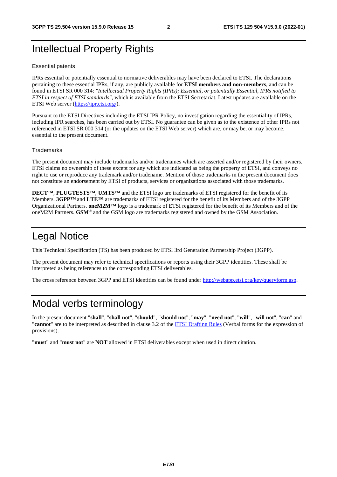# Intellectual Property Rights

#### Essential patents

IPRs essential or potentially essential to normative deliverables may have been declared to ETSI. The declarations pertaining to these essential IPRs, if any, are publicly available for **ETSI members and non-members**, and can be found in ETSI SR 000 314: *"Intellectual Property Rights (IPRs); Essential, or potentially Essential, IPRs notified to ETSI in respect of ETSI standards"*, which is available from the ETSI Secretariat. Latest updates are available on the ETSI Web server ([https://ipr.etsi.org/\)](https://ipr.etsi.org/).

Pursuant to the ETSI Directives including the ETSI IPR Policy, no investigation regarding the essentiality of IPRs, including IPR searches, has been carried out by ETSI. No guarantee can be given as to the existence of other IPRs not referenced in ETSI SR 000 314 (or the updates on the ETSI Web server) which are, or may be, or may become, essential to the present document.

#### **Trademarks**

The present document may include trademarks and/or tradenames which are asserted and/or registered by their owners. ETSI claims no ownership of these except for any which are indicated as being the property of ETSI, and conveys no right to use or reproduce any trademark and/or tradename. Mention of those trademarks in the present document does not constitute an endorsement by ETSI of products, services or organizations associated with those trademarks.

**DECT™**, **PLUGTESTS™**, **UMTS™** and the ETSI logo are trademarks of ETSI registered for the benefit of its Members. **3GPP™** and **LTE™** are trademarks of ETSI registered for the benefit of its Members and of the 3GPP Organizational Partners. **oneM2M™** logo is a trademark of ETSI registered for the benefit of its Members and of the oneM2M Partners. **GSM**® and the GSM logo are trademarks registered and owned by the GSM Association.

# Legal Notice

This Technical Specification (TS) has been produced by ETSI 3rd Generation Partnership Project (3GPP).

The present document may refer to technical specifications or reports using their 3GPP identities. These shall be interpreted as being references to the corresponding ETSI deliverables.

The cross reference between 3GPP and ETSI identities can be found under<http://webapp.etsi.org/key/queryform.asp>.

# Modal verbs terminology

In the present document "**shall**", "**shall not**", "**should**", "**should not**", "**may**", "**need not**", "**will**", "**will not**", "**can**" and "**cannot**" are to be interpreted as described in clause 3.2 of the [ETSI Drafting Rules](https://portal.etsi.org/Services/editHelp!/Howtostart/ETSIDraftingRules.aspx) (Verbal forms for the expression of provisions).

"**must**" and "**must not**" are **NOT** allowed in ETSI deliverables except when used in direct citation.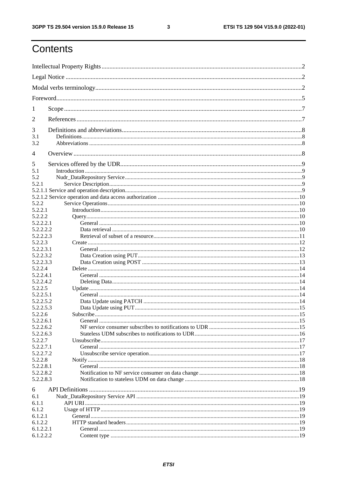$\mathbf{3}$ 

# Contents

| 1          |                                                                                                                                                                                                                                     |  |  |  |  |
|------------|-------------------------------------------------------------------------------------------------------------------------------------------------------------------------------------------------------------------------------------|--|--|--|--|
| 2          |                                                                                                                                                                                                                                     |  |  |  |  |
| 3          |                                                                                                                                                                                                                                     |  |  |  |  |
| 3.1<br>3.2 |                                                                                                                                                                                                                                     |  |  |  |  |
| 4          |                                                                                                                                                                                                                                     |  |  |  |  |
| 5          |                                                                                                                                                                                                                                     |  |  |  |  |
| 5.1        |                                                                                                                                                                                                                                     |  |  |  |  |
| 5.2        |                                                                                                                                                                                                                                     |  |  |  |  |
| 5.2.1      |                                                                                                                                                                                                                                     |  |  |  |  |
|            |                                                                                                                                                                                                                                     |  |  |  |  |
|            |                                                                                                                                                                                                                                     |  |  |  |  |
| 5.2.2      |                                                                                                                                                                                                                                     |  |  |  |  |
| 5.2.2.1    |                                                                                                                                                                                                                                     |  |  |  |  |
| 5.2.2.2    |                                                                                                                                                                                                                                     |  |  |  |  |
| 5.2.2.2.1  |                                                                                                                                                                                                                                     |  |  |  |  |
| 5.2.2.2.2  |                                                                                                                                                                                                                                     |  |  |  |  |
| 5.2.2.2.3  |                                                                                                                                                                                                                                     |  |  |  |  |
| 5.2.2.3    |                                                                                                                                                                                                                                     |  |  |  |  |
| 5.2.2.3.1  |                                                                                                                                                                                                                                     |  |  |  |  |
| 5.2.2.3.2  |                                                                                                                                                                                                                                     |  |  |  |  |
| 5.2.2.3.3  |                                                                                                                                                                                                                                     |  |  |  |  |
| 5.2.2.4    |                                                                                                                                                                                                                                     |  |  |  |  |
| 5.2.2.4.1  |                                                                                                                                                                                                                                     |  |  |  |  |
| 5.2.2.4.2  |                                                                                                                                                                                                                                     |  |  |  |  |
| 5.2.2.5    |                                                                                                                                                                                                                                     |  |  |  |  |
| 5.2.2.5.1  |                                                                                                                                                                                                                                     |  |  |  |  |
| 5.2.2.5.2  |                                                                                                                                                                                                                                     |  |  |  |  |
| 5.2.2.5.3  |                                                                                                                                                                                                                                     |  |  |  |  |
| 5.2.2.6    | Subscribe <b>Subscribe</b> and the second second second second second second second second second second second second second second second second second second second second second second second second second second second sec |  |  |  |  |
| 5.2.2.6.1  |                                                                                                                                                                                                                                     |  |  |  |  |
| 5.2.2.6.2  |                                                                                                                                                                                                                                     |  |  |  |  |
| 5.2.2.6.3  |                                                                                                                                                                                                                                     |  |  |  |  |
| 5.2.2.7    |                                                                                                                                                                                                                                     |  |  |  |  |
| 5.2.2.7.1  |                                                                                                                                                                                                                                     |  |  |  |  |
| 5.2.2.7.2  |                                                                                                                                                                                                                                     |  |  |  |  |
| 5.2.2.8    |                                                                                                                                                                                                                                     |  |  |  |  |
| 5.2.2.8.1  |                                                                                                                                                                                                                                     |  |  |  |  |
| 5.2.2.8.2  |                                                                                                                                                                                                                                     |  |  |  |  |
| 5.2.2.8.3  |                                                                                                                                                                                                                                     |  |  |  |  |
|            |                                                                                                                                                                                                                                     |  |  |  |  |
| 6          |                                                                                                                                                                                                                                     |  |  |  |  |
| 6.1        |                                                                                                                                                                                                                                     |  |  |  |  |
| 6.1.1      |                                                                                                                                                                                                                                     |  |  |  |  |
| 6.1.2      |                                                                                                                                                                                                                                     |  |  |  |  |
| 6.1.2.1    |                                                                                                                                                                                                                                     |  |  |  |  |
| 6.1.2.2    |                                                                                                                                                                                                                                     |  |  |  |  |
| 6.1.2.2.1  |                                                                                                                                                                                                                                     |  |  |  |  |
| 6.1.2.2.2  |                                                                                                                                                                                                                                     |  |  |  |  |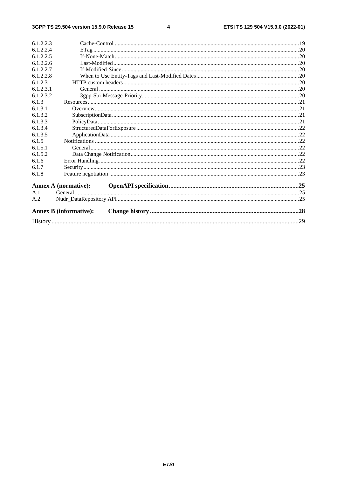#### $\overline{\mathbf{4}}$

| 6.1.2.2.3 |                               |  |
|-----------|-------------------------------|--|
| 6.1.2.2.4 |                               |  |
| 6.1.2.2.5 |                               |  |
| 6.1.2.2.6 |                               |  |
| 6.1.2.2.7 |                               |  |
| 6.1.2.2.8 |                               |  |
| 6.1.2.3   |                               |  |
| 6.1.2.3.1 |                               |  |
| 6.1.2.3.2 |                               |  |
| 6.1.3     |                               |  |
| 6.1.3.1   |                               |  |
| 6.1.3.2   |                               |  |
| 6.1.3.3   |                               |  |
| 6.1.3.4   |                               |  |
| 6.1.3.5   |                               |  |
| 6.1.5     |                               |  |
| 6.1.5.1   |                               |  |
| 6.1.5.2   |                               |  |
| 6.1.6     |                               |  |
| 6.1.7     |                               |  |
| 6.1.8     |                               |  |
|           | Annex A (normative):          |  |
| A.1       |                               |  |
| A.2       |                               |  |
|           | <b>Annex B</b> (informative): |  |
|           |                               |  |
|           |                               |  |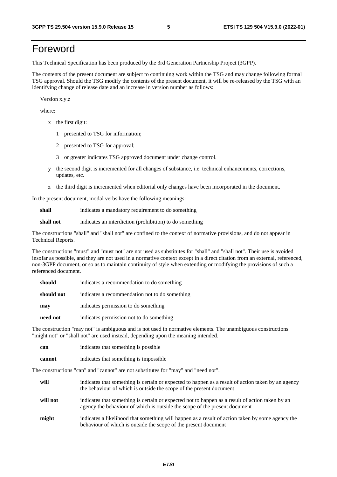# Foreword

This Technical Specification has been produced by the 3rd Generation Partnership Project (3GPP).

The contents of the present document are subject to continuing work within the TSG and may change following formal TSG approval. Should the TSG modify the contents of the present document, it will be re-released by the TSG with an identifying change of release date and an increase in version number as follows:

Version x.y.z

where:

- x the first digit:
	- 1 presented to TSG for information;
	- 2 presented to TSG for approval;
	- 3 or greater indicates TSG approved document under change control.
- y the second digit is incremented for all changes of substance, i.e. technical enhancements, corrections, updates, etc.
- z the third digit is incremented when editorial only changes have been incorporated in the document.

In the present document, modal verbs have the following meanings:

**shall** indicates a mandatory requirement to do something

**shall not** indicates an interdiction (prohibition) to do something

The constructions "shall" and "shall not" are confined to the context of normative provisions, and do not appear in Technical Reports.

The constructions "must" and "must not" are not used as substitutes for "shall" and "shall not". Their use is avoided insofar as possible, and they are not used in a normative context except in a direct citation from an external, referenced, non-3GPP document, or so as to maintain continuity of style when extending or modifying the provisions of such a referenced document.

| should     | indicates a recommendation to do something     |
|------------|------------------------------------------------|
| should not | indicates a recommendation not to do something |
| may        | indicates permission to do something           |
| need not   | indicates permission not to do something       |

The construction "may not" is ambiguous and is not used in normative elements. The unambiguous constructions "might not" or "shall not" are used instead, depending upon the meaning intended.

| can    | indicates that something is possible   |
|--------|----------------------------------------|
| cannot | indicates that something is impossible |

The constructions "can" and "cannot" are not substitutes for "may" and "need not".

| will     | indicates that something is certain or expected to happen as a result of action taken by an agency<br>the behaviour of which is outside the scope of the present document     |
|----------|-------------------------------------------------------------------------------------------------------------------------------------------------------------------------------|
| will not | indicates that something is certain or expected not to happen as a result of action taken by an<br>agency the behaviour of which is outside the scope of the present document |
| might    | indicates a likelihood that something will happen as a result of action taken by some agency the<br>behaviour of which is outside the scope of the present document           |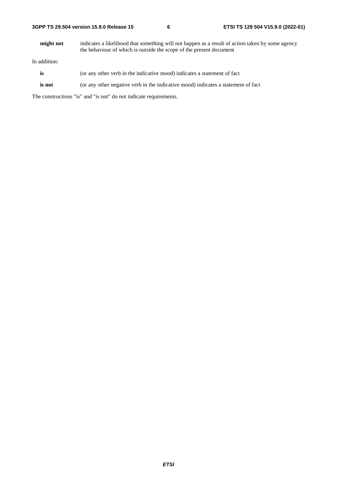**might not** indicates a likelihood that something will not happen as a result of action taken by some agency the behaviour of which is outside the scope of the present document

In addition:

- is (or any other verb in the indicative mood) indicates a statement of fact
- **is not** (or any other negative verb in the indicative mood) indicates a statement of fact

The constructions "is" and "is not" do not indicate requirements.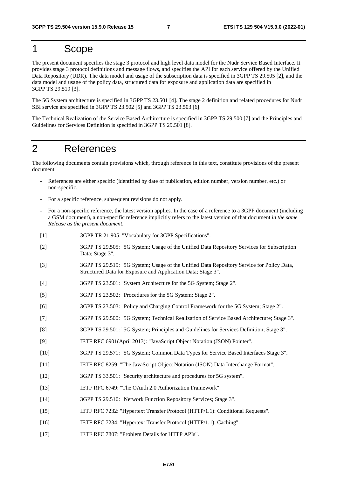# 1 Scope

The present document specifies the stage 3 protocol and high level data model for the Nudr Service Based Interface. It provides stage 3 protocol definitions and message flows, and specifies the API for each service offered by the Unified Data Repository (UDR). The data model and usage of the subscription data is specified in 3GPP TS 29.505 [2], and the data model and usage of the policy data, structured data for exposure and application data are specified in 3GPP TS 29.519 [3].

The 5G System architecture is specified in 3GPP TS 23.501 [4]. The stage 2 definition and related procedures for Nudr SBI service are specified in 3GPP TS 23.502 [5] and 3GPP TS 23.503 [6].

The Technical Realization of the Service Based Architecture is specified in 3GPP TS 29.500 [7] and the Principles and Guidelines for Services Definition is specified in 3GPP TS 29.501 [8].

## 2 References

The following documents contain provisions which, through reference in this text, constitute provisions of the present document.

- References are either specific (identified by date of publication, edition number, version number, etc.) or non-specific.
- For a specific reference, subsequent revisions do not apply.
- For a non-specific reference, the latest version applies. In the case of a reference to a 3GPP document (including a GSM document), a non-specific reference implicitly refers to the latest version of that document *in the same Release as the present document*.
- [1] 3GPP TR 21.905: "Vocabulary for 3GPP Specifications".
- [2] 3GPP TS 29.505: "5G System; Usage of the Unified Data Repository Services for Subscription Data; Stage 3".
- [3] 3GPP TS 29.519: "5G System; Usage of the Unified Data Repository Service for Policy Data, Structured Data for Exposure and Application Data; Stage 3".
- [4] 3GPP TS 23.501: "System Architecture for the 5G System; Stage 2".
- [5] 3GPP TS 23.502: "Procedures for the 5G System; Stage 2".
- [6] 3GPP TS 23.503: "Policy and Charging Control Framework for the 5G System; Stage 2".
- [7] 3GPP TS 29.500: "5G System; Technical Realization of Service Based Architecture; Stage 3".
- [8] 3GPP TS 29.501: "5G System; Principles and Guidelines for Services Definition; Stage 3".
- [9] IETF RFC 6901(April 2013): "JavaScript Object Notation (JSON) Pointer".
- [10] 3GPP TS 29.571: "5G System; Common Data Types for Service Based Interfaces Stage 3".
- [11] IETF RFC 8259: "The JavaScript Object Notation (JSON) Data Interchange Format".
- [12] 3GPP TS 33.501: "Security architecture and procedures for 5G system".
- [13] IETF RFC 6749: "The OAuth 2.0 Authorization Framework".
- [14] 3GPP TS 29.510: "Network Function Repository Services; Stage 3".
- [15] IETF RFC 7232: "Hypertext Transfer Protocol (HTTP/1.1): Conditional Requests".
- [16] IETF RFC 7234: "Hypertext Transfer Protocol (HTTP/1.1): Caching".
- [17] IETF RFC 7807: "Problem Details for HTTP APIs".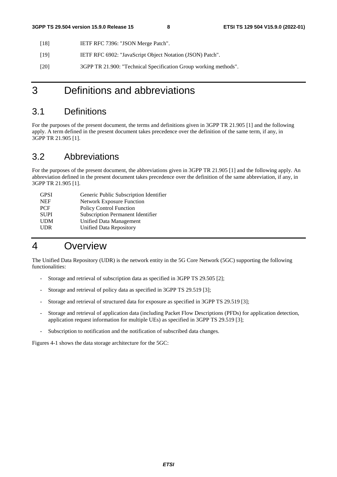- [18] IETF RFC 7396: "JSON Merge Patch".
- [19] IETF RFC 6902: "JavaScript Object Notation (JSON) Patch".
- [20] 3GPP TR 21.900: "Technical Specification Group working methods".

# 3 Definitions and abbreviations

### 3.1 Definitions

For the purposes of the present document, the terms and definitions given in 3GPP TR 21.905 [1] and the following apply. A term defined in the present document takes precedence over the definition of the same term, if any, in 3GPP TR 21.905 [1].

### 3.2 Abbreviations

For the purposes of the present document, the abbreviations given in 3GPP TR 21.905 [1] and the following apply. An abbreviation defined in the present document takes precedence over the definition of the same abbreviation, if any, in 3GPP TR 21.905 [1].

| <b>GPSI</b> | Generic Public Subscription Identifier |
|-------------|----------------------------------------|
| <b>NEF</b>  | <b>Network Exposure Function</b>       |
| <b>PCF</b>  | <b>Policy Control Function</b>         |
| <b>SUPI</b> | Subscription Permanent Identifier      |
| <b>UDM</b>  | Unified Data Management                |
| <b>UDR</b>  | Unified Data Repository                |
|             |                                        |

# 4 Overview

The Unified Data Repository (UDR) is the network entity in the 5G Core Network (5GC) supporting the following functionalities:

- Storage and retrieval of subscription data as specified in 3GPP TS 29.505 [2];
- Storage and retrieval of policy data as specified in 3GPP TS 29.519 [3];
- Storage and retrieval of structured data for exposure as specified in 3GPP TS 29.519 [3];
- Storage and retrieval of application data (including Packet Flow Descriptions (PFDs) for application detection, application request information for multiple UEs) as specified in 3GPP TS 29.519 [3];
- Subscription to notification and the notification of subscribed data changes.

Figures 4-1 shows the data storage architecture for the 5GC: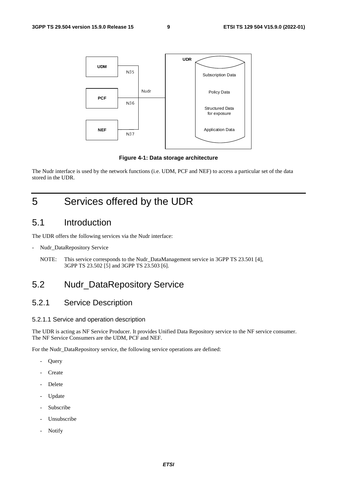

**Figure 4-1: Data storage architecture** 

The Nudr interface is used by the network functions (i.e. UDM, PCF and NEF) to access a particular set of the data stored in the UDR.

# 5 Services offered by the UDR

### 5.1 Introduction

The UDR offers the following services via the Nudr interface:

- Nudr\_DataRepository Service
	- NOTE: This service corresponds to the Nudr\_DataManagement service in 3GPP TS 23.501 [4], 3GPP TS 23.502 [5] and 3GPP TS 23.503 [6].

### 5.2 Nudr\_DataRepository Service

#### 5.2.1 Service Description

#### 5.2.1.1 Service and operation description

The UDR is acting as NF Service Producer. It provides Unified Data Repository service to the NF service consumer. The NF Service Consumers are the UDM, PCF and NEF.

For the Nudr\_DataRepository service, the following service operations are defined:

- **Query**
- **Create**
- **Delete**
- **Update**
- Subscribe
- Unsubscribe
- Notify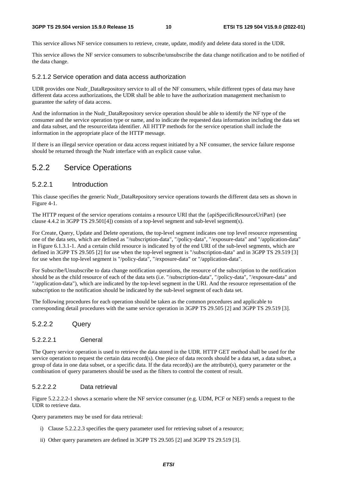This service allows NF service consumers to retrieve, create, update, modify and delete data stored in the UDR.

This service allows the NF service consumers to subscribe/unsubscribe the data change notification and to be notified of the data change.

#### 5.2.1.2 Service operation and data access authorization

UDR provides one Nudr DataRepository service to all of the NF consumers, while different types of data may have different data access authorizations, the UDR shall be able to have the authorization management mechanism to guarantee the safety of data access.

And the information in the Nudr\_DataRepository service operation should be able to identify the NF type of the consumer and the service operation type or name, and to indicate the requested data information including the data set and data subset, and the resource/data identifier. All HTTP methods for the service operation shall include the information in the appropriate place of the HTTP message.

If there is an illegal service operation or data access request initiated by a NF consumer, the service failure response should be returned through the Nudr interface with an explicit cause value.

#### 5.2.2 Service Operations

#### 5.2.2.1 Introduction

This clause specifies the generic Nudr\_DataRepository service operations towards the different data sets as shown in Figure 4-1.

The HTTP request of the service operations contains a resource URI that the {apiSpecificResourceUriPart} (see clause 4.4.2 in 3GPP TS 29.501[4]) consists of a top-level segment and sub-level segment(s).

For Create, Query, Update and Delete operations, the top-level segment indicates one top level resource representing one of the data sets, which are defined as "/subscription-data", "/policy-data", "/exposure-data" and "/application-data" in Figure 6.1.3.1-1. And a certain child resource is indicated by of the end URI of the sub-level segments, which are defined in 3GPP TS 29.505 [2] for use when the top-level segment is "/subscription-data" and in 3GPP TS 29.519 [3] for use when the top-level segment is "/policy-data", "/exposure-data" or "/application-data".

For Subscribe/Unsubscribe to data change notification operations, the resource of the subscription to the notification should be as the child resource of each of the data sets (i.e. "/subscription-data", "/policy-data", "/exposure-data" and "/application-data"), which are indicated by the top-level segment in the URI. And the resource representation of the subscription to the notification should be indicated by the sub-level segment of each data set.

The following procedures for each operation should be taken as the common procedures and applicable to corresponding detail procedures with the same service operation in 3GPP TS 29.505 [2] and 3GPP TS 29.519 [3].

#### 5.2.2.2 Query

#### 5.2.2.2.1 General

The Query service operation is used to retrieve the data stored in the UDR. HTTP GET method shall be used for the service operation to request the certain data record(s). One piece of data records should be a data set, a data subset, a group of data in one data subset, or a specific data. If the data record(s) are the attribute(s), query parameter or the combination of query parameters should be used as the filters to control the content of result.

#### 5.2.2.2.2 Data retrieval

Figure 5.2.2.2.2-1 shows a scenario where the NF service consumer (e.g. UDM, PCF or NEF) sends a request to the UDR to retrieve data.

Query parameters may be used for data retrieval:

- i) Clause 5.2.2.2.3 specifies the query parameter used for retrieving subset of a resource;
- ii) Other query parameters are defined in 3GPP TS 29.505 [2] and 3GPP TS 29.519 [3].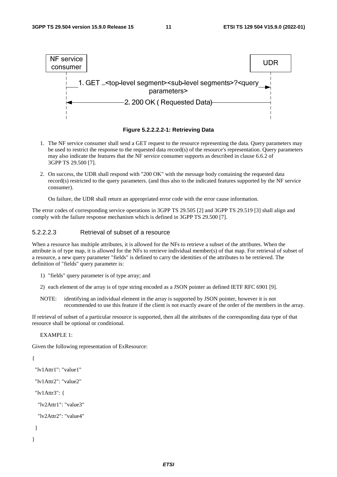



- 1. The NF service consumer shall send a GET request to the resource representing the data. Query parameters may be used to restrict the response to the requested data record(s) of the resource's representation. Query parameters may also indicate the features that the NF service consumer supports as described in clause 6.6.2 of 3GPP TS 29.500 [7].
- 2. On success, the UDR shall respond with "200 OK" with the message body containing the requested data record(s) restricted to the query parameters. (and thus also to the indicated features supported by the NF service consumer).

On failure, the UDR shall return an appropriated error code with the error cause information.

The error codes of corresponding service operations in 3GPP TS 29.505 [2] and 3GPP TS 29.519 [3] shall align and comply with the failure response mechanism which is defined in 3GPP TS 29.500 [7].

#### 5.2.2.2.3 Retrieval of subset of a resource

When a resource has multiple attributes, it is allowed for the NFs to retrieve a subset of the attributes. When the attribute is of type map, it is allowed for the NFs to retrieve individual member(s) of that map. For retrieval of subset of a resource, a new query parameter "fields" is defined to carry the identities of the attributes to be retrieved. The definition of "fields" query parameter is:

- 1) "fields" query parameter is of type array; and
- 2) each element of the array is of type string encoded as a JSON pointer as defined IETF RFC 6901 [9].
- NOTE: identifying an individual element in the array is supported by JSON pointer, however it is not recommended to use this feature if the client is not exactly aware of the order of the members in the array.

If retrieval of subset of a particular resource is supported, then all the attributes of the corresponding data type of that resource shall be optional or conditional.

EXAMPLE 1:

Given the following representation of ExResource:

```
{
```

```
 "lv1Attr1": "value1" 
 "lv1Attr2": "value2" 
 "lv1Attr3": { 
  "lv2Attr1": "value3" 
  "lv2Attr2": "value4" 
 }
```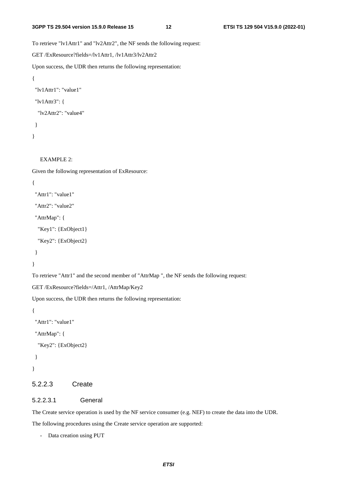To retrieve "lv1Attr1" and "lv2Attr2", the NF sends the following request:

```
GET /ExResource?fields=/lv1Attr1, /lv1Attr3/lv2Attr2
```
Upon success, the UDR then returns the following representation:

```
{ 
  "lv1Attr1": "value1" 
  "lv1Attr3": { 
   "lv2Attr2": "value4" 
  }
```
}

#### EXAMPLE 2:

Given the following representation of ExResource:

```
{
```

```
 "Attr1": "value1"
```
"Attr2": "value2"

"AttrMap": {

"Key1": {ExObject1}

"Key2": {ExObject2}

}

}

To retrieve "Attr1" and the second member of "AttrMap ", the NF sends the following request:

GET /ExResource?fields=/Attr1, /AttrMap/Key2

Upon success, the UDR then returns the following representation:

```
{
```
"Attr1": "value1"

"AttrMap": {

```
 "Key2": {ExObject2}
```

```
 }
```

```
}
```
#### 5.2.2.3 Create

#### 5.2.2.3.1 General

The Create service operation is used by the NF service consumer (e.g. NEF) to create the data into the UDR.

The following procedures using the Create service operation are supported:

- Data creation using PUT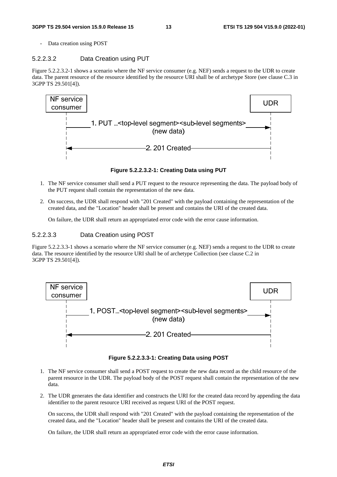Data creation using POST

#### 5.2.2.3.2 Data Creation using PUT

Figure 5.2.2.3.2-1 shows a scenario where the NF service consumer (e.g. NEF) sends a request to the UDR to create data. The parent resource of the resource identified by the resource URI shall be of archetype Store (see clause C.3 in 3GPP TS 29.501[4]).



**Figure 5.2.2.3.2-1: Creating Data using PUT** 

- 1. The NF service consumer shall send a PUT request to the resource representing the data. The payload body of the PUT request shall contain the representation of the new data.
- 2. On success, the UDR shall respond with "201 Created" with the payload containing the representation of the created data, and the "Location" header shall be present and contains the URI of the created data.

On failure, the UDR shall return an appropriated error code with the error cause information.

#### 5.2.2.3.3 Data Creation using POST

Figure 5.2.2.3.3-1 shows a scenario where the NF service consumer (e.g. NEF) sends a request to the UDR to create data. The resource identified by the resource URI shall be of archetype Collection (see clause C.2 in 3GPP TS 29.501[4]).



**Figure 5.2.2.3.3-1: Creating Data using POST** 

- 1. The NF service consumer shall send a POST request to create the new data record as the child resource of the parent resource in the UDR. The payload body of the POST request shall contain the representation of the new data.
- 2. The UDR generates the data identifier and constructs the URI for the created data record by appending the data identifier to the parent resource URI received as request URI of the POST request.

 On success, the UDR shall respond with "201 Created" with the payload containing the representation of the created data, and the "Location" header shall be present and contains the URI of the created data.

On failure, the UDR shall return an appropriated error code with the error cause information.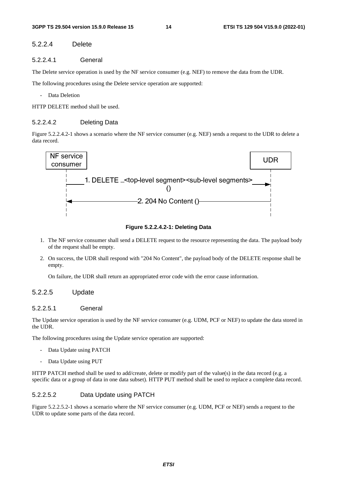#### 5.2.2.4 Delete

#### 5.2.2.4.1 General

The Delete service operation is used by the NF service consumer (e.g. NEF) to remove the data from the UDR.

The following procedures using the Delete service operation are supported:

- Data Deletion

HTTP DELETE method shall be used.

#### 5.2.2.4.2 Deleting Data

Figure 5.2.2.4.2-1 shows a scenario where the NF service consumer (e.g. NEF) sends a request to the UDR to delete a data record.



**Figure 5.2.2.4.2-1: Deleting Data** 

- 1. The NF service consumer shall send a DELETE request to the resource representing the data. The payload body of the request shall be empty.
- 2. On success, the UDR shall respond with "204 No Content", the payload body of the DELETE response shall be empty.

On failure, the UDR shall return an appropriated error code with the error cause information.

#### 5.2.2.5 Update

#### 5.2.2.5.1 General

The Update service operation is used by the NF service consumer (e.g. UDM, PCF or NEF) to update the data stored in the UDR.

The following procedures using the Update service operation are supported:

- Data Update using PATCH
- Data Update using PUT

HTTP PATCH method shall be used to add/create, delete or modify part of the value(s) in the data record (e.g. a specific data or a group of data in one data subset). HTTP PUT method shall be used to replace a complete data record.

#### 5.2.2.5.2 Data Update using PATCH

Figure 5.2.2.5.2-1 shows a scenario where the NF service consumer (e.g. UDM, PCF or NEF) sends a request to the UDR to update some parts of the data record.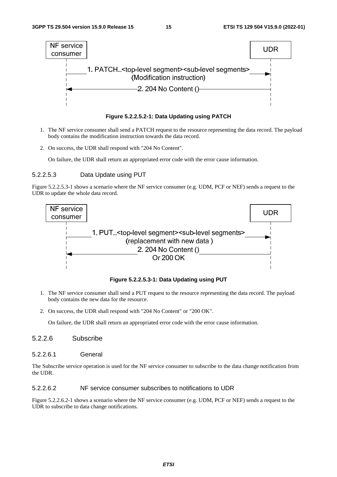



- 1. The NF service consumer shall send a PATCH request to the resource representing the data record. The payload body contains the modification instruction towards the data record.
- 2. On success, the UDR shall respond with "204 No Content".

On failure, the UDR shall return an appropriated error code with the error cause information.

#### 5.2.2.5.3 Data Update using PUT

Figure 5.2.2.5.3-1 shows a scenario where the NF service consumer (e.g. UDM, PCF or NEF) sends a request to the UDR to update the whole data record.



**Figure 5.2.2.5.3-1: Data Updating using PUT** 

- 1. The NF service consumer shall send a PUT request to the resource representing the data record. The payload body contains the new data for the resource.
- 2. On success, the UDR shall respond with "204 No Content" or "200 OK".

On failure, the UDR shall return an appropriated error code with the error cause information.

#### 5.2.2.6 Subscribe

5.2.2.6.1 General

The Subscribe service operation is used for the NF service consumer to subscribe to the data change notification from the UDR.

#### 5.2.2.6.2 NF service consumer subscribes to notifications to UDR

Figure 5.2.2.6.2-1 shows a scenario where the NF service consumer (e.g. UDM, PCF or NEF) sends a request to the UDR to subscribe to data change notifications.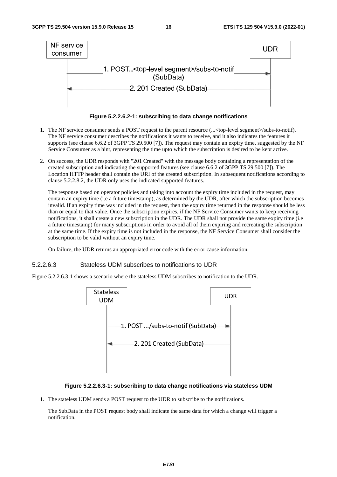

**Figure 5.2.2.6.2-1: subscribing to data change notifications** 

- 1. The NF service consumer sends a POST request to the parent resource (...<top-level segment>/subs-to-notif). The NF service consumer describes the notifications it wants to receive, and it also indicates the features it supports (see clause 6.6.2 of 3GPP TS 29.500 [7]). The request may contain an expiry time, suggested by the NF Service Consumer as a hint, representing the time upto which the subscription is desired to be kept active.
- 2. On success, the UDR responds with "201 Created" with the message body containing a representation of the created subscription and indicating the supported features (see clause 6.6.2 of 3GPP TS 29.500 [7]). The Location HTTP header shall contain the URI of the created subscription. In subsequent notifications according to clause 5.2.2.8.2, the UDR only uses the indicated supported features.

The response based on operator policies and taking into account the expiry time included in the request, may contain an expiry time (i.e a future timestamp), as determined by the UDR, after which the subscription becomes invalid. If an expiry time was included in the request, then the expiry time returned in the response should be less than or equal to that value. Once the subscription expires, if the NF Service Consumer wants to keep receiving notifications, it shall create a new subscription in the UDR. The UDR shall not provide the same expiry time (i.e a future timestamp) for many subscriptions in order to avoid all of them expiring and recreating the subscription at the same time. If the expiry time is not included in the response, the NF Service Consumer shall consider the subscription to be valid without an expiry time.

On failure, the UDR returns an appropriated error code with the error cause information.

#### 5.2.2.6.3 Stateless UDM subscribes to notifications to UDR

Figure 5.2.2.6.3-1 shows a scenario where the stateless UDM subscribes to notification to the UDR.



#### **Figure 5.2.2.6.3-1: subscribing to data change notifications via stateless UDM**

1. The stateless UDM sends a POST request to the UDR to subscribe to the notifications.

 The SubData in the POST request body shall indicate the same data for which a change will trigger a notification.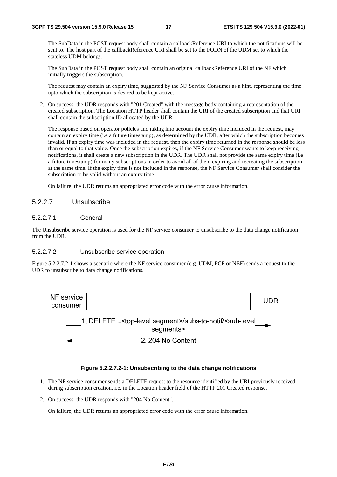The SubData in the POST request body shall contain a callbackReference URI to which the notifications will be sent to. The host part of the callbackReference URI shall be set to the FQDN of the UDM set to which the stateless UDM belongs.

 The SubData in the POST request body shall contain an original callbackReference URI of the NF which initially triggers the subscription.

The request may contain an expiry time, suggested by the NF Service Consumer as a hint, representing the time upto which the subscription is desired to be kept active.

2. On success, the UDR responds with "201 Created" with the message body containing a representation of the created subscription. The Location HTTP header shall contain the URI of the created subscription and that URI shall contain the subscription ID allocated by the UDR.

The response based on operator policies and taking into account the expiry time included in the request, may contain an expiry time (i.e a future timestamp), as determined by the UDR, after which the subscription becomes invalid. If an expiry time was included in the request, then the expiry time returned in the response should be less than or equal to that value. Once the subscription expires, if the NF Service Consumer wants to keep receiving notifications, it shall create a new subscription in the UDR. The UDR shall not provide the same expiry time (i.e a future timestamp) for many subscriptions in order to avoid all of them expiring and recreating the subscription at the same time. If the expiry time is not included in the response, the NF Service Consumer shall consider the subscription to be valid without an expiry time.

On failure, the UDR returns an appropriated error code with the error cause information.

#### 5.2.2.7 Unsubscribe

#### 5.2.2.7.1 General

The Unsubscribe service operation is used for the NF service consumer to unsubscribe to the data change notification from the UDR.

#### 5.2.2.7.2 Unsubscribe service operation

Figure 5.2.2.7.2-1 shows a scenario where the NF service consumer (e.g. UDM, PCF or NEF) sends a request to the UDR to unsubscribe to data change notifications.



#### **Figure 5.2.2.7.2-1: Unsubscribing to the data change notifications**

- 1. The NF service consumer sends a DELETE request to the resource identified by the URI previously received during subscription creation, i.e. in the Location header field of the HTTP 201 Created response.
- 2. On success, the UDR responds with "204 No Content".

On failure, the UDR returns an appropriated error code with the error cause information.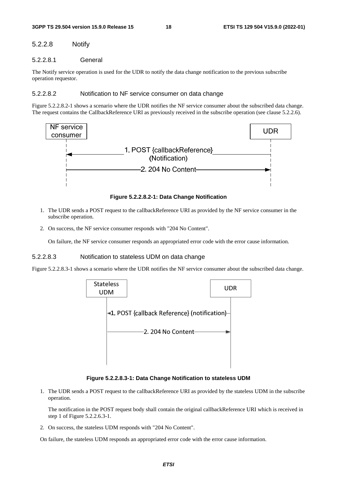#### 5.2.2.8 Notify

#### 5.2.2.8.1 General

The Notify service operation is used for the UDR to notify the data change notification to the previous subscribe operation requestor.

#### 5.2.2.8.2 Notification to NF service consumer on data change

Figure 5.2.2.8.2-1 shows a scenario where the UDR notifies the NF service consumer about the subscribed data change. The request contains the CallbackReference URI as previously received in the subscribe operation (see clause 5.2.2.6).



**Figure 5.2.2.8.2-1: Data Change Notification** 

- 1. The UDR sends a POST request to the callbackReference URI as provided by the NF service consumer in the subscribe operation.
- 2. On success, the NF service consumer responds with "204 No Content".

On failure, the NF service consumer responds an appropriated error code with the error cause information.

#### 5.2.2.8.3 Notification to stateless UDM on data change

Figure 5.2.2.8.3-1 shows a scenario where the UDR notifies the NF service consumer about the subscribed data change.



**Figure 5.2.2.8.3-1: Data Change Notification to stateless UDM** 

1. The UDR sends a POST request to the callbackReference URI as provided by the stateless UDM in the subscribe operation.

 The notification in the POST request body shall contain the original callbackReference URI which is received in step 1 of Figure 5.2.2.6.3-1.

2. On success, the stateless UDM responds with "204 No Content".

On failure, the stateless UDM responds an appropriated error code with the error cause information.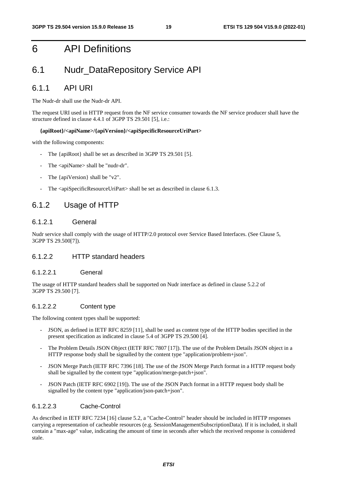# 6 API Definitions

### 6.1 Nudr\_DataRepository Service API

#### 6.1.1 API URI

The Nudr-dr shall use the Nudr-dr API.

The request URI used in HTTP request from the NF service consumer towards the NF service producer shall have the structure defined in clause 4.4.1 of 3GPP TS 29.501 [5], i.e.:

#### **{apiRoot}/<apiName>/{apiVersion}/<apiSpecificResourceUriPart>**

with the following components:

- The {apiRoot} shall be set as described in 3GPP TS 29.501 [5].
- The <apiName> shall be "nudr-dr".
- The  $\{apiVersion\}$  shall be "v2".
- The <apiSpecificResourceUriPart> shall be set as described in clause 6.1.3.

#### 6.1.2 Usage of HTTP

#### 6.1.2.1 General

Nudr service shall comply with the usage of HTTP/2.0 protocol over Service Based Interfaces. (See Clause 5, 3GPP TS 29.500[7]).

#### 6.1.2.2 HTTP standard headers

#### 6.1.2.2.1 General

The usage of HTTP standard headers shall be supported on Nudr interface as defined in clause 5.2.2 of 3GPP TS 29.500 [7].

#### 6.1.2.2.2 Content type

The following content types shall be supported:

- JSON, as defined in IETF RFC 8259 [11], shall be used as content type of the HTTP bodies specified in the present specification as indicated in clause 5.4 of 3GPP TS 29.500 [4].
- The Problem Details JSON Object (IETF RFC 7807 [17]). The use of the Problem Details JSON object in a HTTP response body shall be signalled by the content type "application/problem+json".
- JSON Merge Patch (IETF RFC 7396 [18]. The use of the JSON Merge Patch format in a HTTP request body shall be signalled by the content type "application/merge-patch+json".
- JSON Patch (IETF RFC 6902 [19]). The use of the JSON Patch format in a HTTP request body shall be signalled by the content type "application/json-patch+json".

#### 6.1.2.2.3 Cache-Control

As described in IETF RFC 7234 [16] clause 5.2, a "Cache-Control" header should be included in HTTP responses carrying a representation of cacheable resources (e.g. SessionManagementSubscriptionData). If it is included, it shall contain a "max-age" value, indicating the amount of time in seconds after which the received response is considered stale.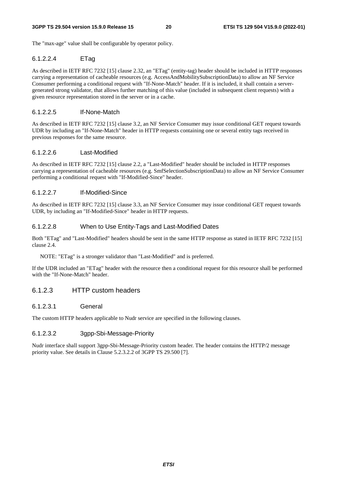The "max-age" value shall be configurable by operator policy.

#### 6.1.2.2.4 ETag

As described in IETF RFC 7232 [15] clause 2.32, an "ETag" (entity-tag) header should be included in HTTP responses carrying a representation of cacheable resources (e.g. AccessAndMobilitySubscriptionData) to allow an NF Service Consumer performing a conditional request with "If-None-Match" header. If it is included, it shall contain a servergenerated strong validator, that allows further matching of this value (included in subsequent client requests) with a given resource representation stored in the server or in a cache.

#### 6.1.2.2.5 If-None-Match

As described in IETF RFC 7232 [15] clause 3.2, an NF Service Consumer may issue conditional GET request towards UDR by including an "If-None-Match" header in HTTP requests containing one or several entity tags received in previous responses for the same resource.

#### 6.1.2.2.6 Last-Modified

As described in IETF RFC 7232 [15] clause 2.2, a "Last-Modified" header should be included in HTTP responses carrying a representation of cacheable resources (e.g. SmfSelectionSubscriptionData) to allow an NF Service Consumer performing a conditional request with "If-Modified-Since" header.

#### 6.1.2.2.7 If-Modified-Since

As described in IETF RFC 7232 [15] clause 3.3, an NF Service Consumer may issue conditional GET request towards UDR, by including an "If-Modified-Since" header in HTTP requests.

#### 6.1.2.2.8 When to Use Entity-Tags and Last-Modified Dates

Both "ETag" and "Last-Modified" headers should be sent in the same HTTP response as stated in IETF RFC 7232 [15] clause 2.4.

NOTE: "ETag" is a stronger validator than "Last-Modified" and is preferred.

If the UDR included an "ETag" header with the resource then a conditional request for this resource shall be performed with the "If-None-Match" header.

#### 6.1.2.3 HTTP custom headers

#### 6.1.2.3.1 General

The custom HTTP headers applicable to Nudr service are specified in the following clauses.

#### 6.1.2.3.2 3gpp-Sbi-Message-Priority

Nudr interface shall support 3gpp-Sbi-Message-Priority custom header. The header contains the HTTP/2 message priority value. See details in Clause 5.2.3.2.2 of 3GPP TS 29.500 [7].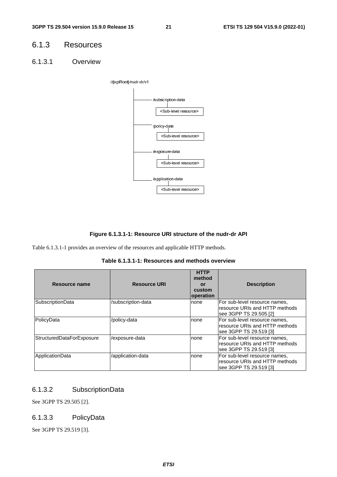### 6.1.3 Resources

6.1.3.1 Overview



#### **Figure 6.1.3.1-1: Resource URI structure of the nudr-dr API**

Table 6.1.3.1-1 provides an overview of the resources and applicable HTTP methods.

**Table 6.1.3.1-1: Resources and methods overview** 

| Resource name                    | <b>Resource URI</b> | <b>HTTP</b><br>method<br>or<br>custom<br>operation | <b>Description</b>                                                                        |
|----------------------------------|---------------------|----------------------------------------------------|-------------------------------------------------------------------------------------------|
| SubscriptionData                 | /subscription-data  | none                                               | For sub-level resource names,<br>resource URIs and HTTP methods<br>see 3GPP TS 29.505 [2] |
| PolicyData                       | /policy-data        | none                                               | For sub-level resource names.<br>resource URIs and HTTP methods<br>see 3GPP TS 29.519 [3] |
| <b>StructuredDataForExposure</b> | /exposure-data      | none                                               | For sub-level resource names.<br>resource URIs and HTTP methods<br>see 3GPP TS 29.519 [3] |
| ApplicationData                  | /application-data   | none                                               | For sub-level resource names,<br>resource URIs and HTTP methods<br>see 3GPP TS 29.519 [3] |

#### 6.1.3.2 SubscriptionData

See 3GPP TS 29.505 [2].

#### 6.1.3.3 PolicyData

See 3GPP TS 29.519 [3].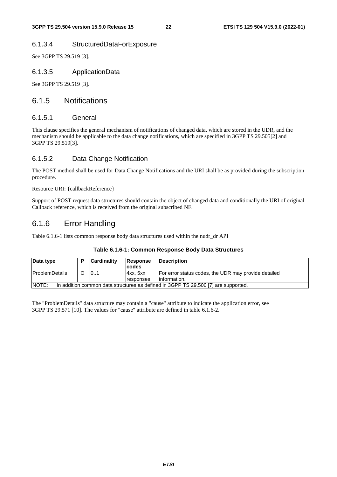#### 6.1.3.4 StructuredDataForExposure

See 3GPP TS 29.519 [3].

#### 6.1.3.5 ApplicationData

See 3GPP TS 29.519 [3].

#### 6.1.5 Notifications

#### 6.1.5.1 General

This clause specifies the general mechanism of notifications of changed data, which are stored in the UDR, and the mechanism should be applicable to the data change notifications, which are specified in 3GPP TS 29.505[2] and 3GPP TS 29.519[3].

#### 6.1.5.2 Data Change Notification

The POST method shall be used for Data Change Notifications and the URI shall be as provided during the subscription procedure.

Resource URI: {callbackReference}

Support of POST request data structures should contain the object of changed data and conditionally the URI of original Callback reference, which is received from the original subscribed NF.

### 6.1.6 Error Handling

Table 6.1.6-1 lists common response body data structures used within the nudr\_dr API

|  | Table 6.1.6-1: Common Response Body Data Structures |
|--|-----------------------------------------------------|
|--|-----------------------------------------------------|

| Data type                                                                                   |  | <b>Cardinality</b> | Response<br><b>codes</b>      | <b>Description</b>                                                    |
|---------------------------------------------------------------------------------------------|--|--------------------|-------------------------------|-----------------------------------------------------------------------|
| <b>ProblemDetails</b>                                                                       |  | 101                | Axx, 5xx<br><b>Iresponses</b> | For error status codes, the UDR may provide detailed<br>linformation. |
| NOTE:<br>In addition common data structures as defined in 3GPP TS 29.500 [7] are supported. |  |                    |                               |                                                                       |

The "ProblemDetails" data structure may contain a "cause" attribute to indicate the application error, see 3GPP TS 29.571 [10]. The values for "cause" attribute are defined in table 6.1.6-2.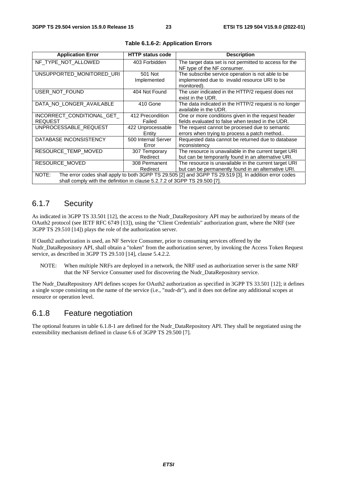| <b>Application Error</b>                                                                                        | <b>HTTP status code</b>      | <b>Description</b>                                                                                                |  |  |
|-----------------------------------------------------------------------------------------------------------------|------------------------------|-------------------------------------------------------------------------------------------------------------------|--|--|
| NF_TYPE_NOT_ALLOWED                                                                                             | 403 Forbidden                | The target data set is not permitted to access for the<br>NF type of the NF consumer.                             |  |  |
| UNSUPPORTED MONITORED URI                                                                                       | 501 Not<br>Implemented       | The subscribe service operation is not able to be<br>implemented due to invalid resource URI to be<br>monitored). |  |  |
| USER NOT FOUND                                                                                                  | 404 Not Found                | The user indicated in the HTTP/2 request does not<br>exist in the UDR.                                            |  |  |
| DATA NO LONGER AVAILABLE                                                                                        | 410 Gone                     | The data indicated in the HTTP/2 request is no longer<br>available in the UDR.                                    |  |  |
| INCORRECT CONDITIONAL GET<br><b>REQUEST</b>                                                                     | 412 Precondition<br>Failed   | One or more conditions given in the request header<br>fields evaluated to false when tested in the UDR.           |  |  |
| UNPROCESSABLE REQUEST                                                                                           | 422 Unprocessable<br>Entity  | The request cannot be procesed due to semantic<br>errors when trying to process a patch method                    |  |  |
| DATABASE INCONSISTENCY                                                                                          | 500 Internal Server<br>Error | Requested data cannot be returned due to database<br>inconsistency                                                |  |  |
| RESOURCE TEMP MOVED                                                                                             | 307 Temporary<br>Redirect    | The resource is unavailable in the current target URI<br>but can be temporarily found in an alternative URI.      |  |  |
| RESOURCE MOVED                                                                                                  | 308 Permanent<br>Redirect    | The resource is unavailable in the current target URI<br>but can be permanently found in an alternative URI.      |  |  |
| NOTE:<br>The error codes shall apply to both 3GPP TS 29.505 [2] and 3GPP TS 29.519 [3]. In addition error codes |                              |                                                                                                                   |  |  |
| shall comply with the definition in clause 5.2.7.2 of 3GPP TS 29.500 [7].                                       |                              |                                                                                                                   |  |  |

**Table 6.1.6-2: Application Errors** 

#### 6.1.7 Security

As indicated in 3GPP TS 33.501 [12], the access to the Nudr\_DataRepository API may be authorized by means of the OAuth2 protocol (see IETF RFC 6749 [13]), using the "Client Credentials" authorization grant, where the NRF (see 3GPP TS 29.510 [14]) plays the role of the authorization server.

If Oauth2 authorization is used, an NF Service Consumer, prior to consuming services offered by the Nudr\_DataRepository API, shall obtain a "token" from the authorization server, by invoking the Access Token Request service, as described in 3GPP TS 29.510 [14], clause 5.4.2.2.

NOTE: When multiple NRFs are deployed in a network, the NRF used as authorization server is the same NRF that the NF Service Consumer used for discovering the Nudr\_DataRepository service.

The Nudr\_DataRepository API defines scopes for OAuth2 authorization as specified in 3GPP TS 33.501 [12]; it defines a single scope consisting on the name of the service (i.e., "nudr-dr"), and it does not define any additional scopes at resource or operation level.

### 6.1.8 Feature negotiation

The optional features in table 6.1.8-1 are defined for the Nudr\_DataRepository API. They shall be negotiated using the extensibility mechanism defined in clause 6.6 of 3GPP TS 29.500 [7].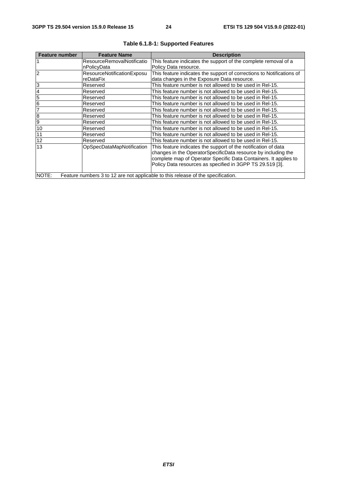| <b>Feature number</b>                                                                     | <b>Feature Name</b>               | <b>Description</b>                                                    |  |  |
|-------------------------------------------------------------------------------------------|-----------------------------------|-----------------------------------------------------------------------|--|--|
|                                                                                           | <b>ResourceRemovalNotificatio</b> | This feature indicates the support of the complete removal of a       |  |  |
|                                                                                           | nPolicyData                       | Policy Data resource.                                                 |  |  |
| 2                                                                                         | ResourceNotificationExposu        | This feature indicates the support of corrections to Notifications of |  |  |
|                                                                                           | reDataFix                         | data changes in the Exposure Data resource.                           |  |  |
| 3                                                                                         | Reserved                          | This feature number is not allowed to be used in Rel-15.              |  |  |
|                                                                                           | Reserved                          | This feature number is not allowed to be used in Rel-15.              |  |  |
| 5                                                                                         | Reserved                          | This feature number is not allowed to be used in Rel-15.              |  |  |
| 6                                                                                         | Reserved                          | This feature number is not allowed to be used in Rel-15.              |  |  |
|                                                                                           | Reserved                          | This feature number is not allowed to be used in Rel-15.              |  |  |
| 8                                                                                         | Reserved                          | This feature number is not allowed to be used in Rel-15.              |  |  |
| 9                                                                                         | Reserved                          | This feature number is not allowed to be used in Rel-15.              |  |  |
| 10                                                                                        | Reserved                          | This feature number is not allowed to be used in Rel-15.              |  |  |
| 11                                                                                        | Reserved                          | This feature number is not allowed to be used in Rel-15.              |  |  |
| 12                                                                                        | Reserved                          | This feature number is not allowed to be used in Rel-15.              |  |  |
| 13                                                                                        | OpSpecDataMapNotification         | This feature indicates the support of the notification of data        |  |  |
|                                                                                           |                                   | changes in the OperatorSpecificData resource by including the         |  |  |
|                                                                                           |                                   | complete map of Operator Specific Data Containers. It applies to      |  |  |
|                                                                                           |                                   | Policy Data resources as specified in 3GPP TS 29.519 [3].             |  |  |
| NOTE:<br>Feature numbers 3 to 12 are not applicable to this release of the specification. |                                   |                                                                       |  |  |

#### **Table 6.1.8-1: Supported Features**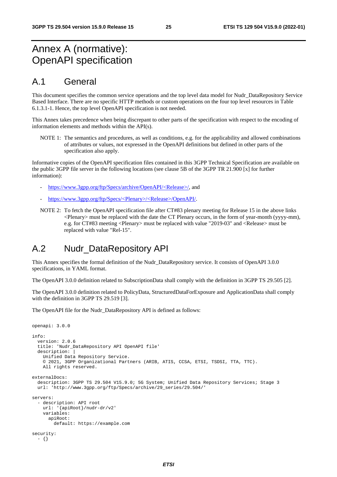# Annex A (normative): OpenAPI specification

### A.1 General

This document specifies the common service operations and the top level data model for Nudr\_DataRepository Service Based Interface. There are no specific HTTP methods or custom operations on the four top level resources in Table 6.1.3.1-1. Hence, the top level OpenAPI specification is not needed.

This Annex takes precedence when being discrepant to other parts of the specification with respect to the encoding of information elements and methods within the API(s).

NOTE 1: The semantics and procedures, as well as conditions, e.g. for the applicability and allowed combinations of attributes or values, not expressed in the OpenAPI definitions but defined in other parts of the specification also apply.

Informative copies of the OpenAPI specification files contained in this 3GPP Technical Specification are available on the public 3GPP file server in the following locations (see clause 5B of the 3GPP TR 21.900 [x] for further information):

- [https://www.3gpp.org/ftp/Specs/archive/OpenAPI/<Release>/](https://www.3gpp.org/ftp/Specs/archive/OpenAPI/%3cRelease%3e/), and
- [https://www.3gpp.org/ftp/Specs/<Plenary>/<Release>/OpenAPI/.](https://www.3gpp.org/ftp/Specs/%3cPlenary%3e/%3cRelease%3e/OpenAPI/)
- NOTE 2: To fetch the OpenAPI specification file after CT#83 plenary meeting for Release 15 in the above links  $\leq$ Plenary $>$  must be replaced with the date the CT Plenary occurs, in the form of year-month (yyyy-mm), e.g. for CT#83 meeting <Plenary> must be replaced with value "2019-03" and <Release> must be replaced with value "Rel-15".

### A.2 Nudr\_DataRepository API

This Annex specifies the formal definition of the Nudr\_DataRepository service. It consists of OpenAPI 3.0.0 specifications, in YAML format.

The OpenAPI 3.0.0 definition related to SubscriptionData shall comply with the definition in 3GPP TS 29.505 [2].

The OpenAPI 3.0.0 definition related to PolicyData, StructuredDataForExposure and ApplicationData shall comply with the definition in 3GPP TS 29.519 [3].

The OpenAPI file for the Nudr\_DataRepository API is defined as follows:

```
openapi: 3.0.0 
info: 
   version: 2.0.6 
   title: 'Nudr_DataRepository API OpenAPI file' 
   description: | 
     Unified Data Repository Service. 
     © 2021, 3GPP Organizational Partners (ARIB, ATIS, CCSA, ETSI, TSDSI, TTA, TTC). 
     All rights reserved. 
externalDocs: 
   description: 3GPP TS 29.504 V15.9.0; 5G System; Unified Data Repository Services; Stage 3 
   url: 'http://www.3gpp.org/ftp/Specs/archive/29_series/29.504/' 
servers: 
   - description: API root 
     url: '{apiRoot}/nudr-dr/v2' 
     variables: 
       apiRoot: 
         default: https://example.com 
security: 
   - {}
```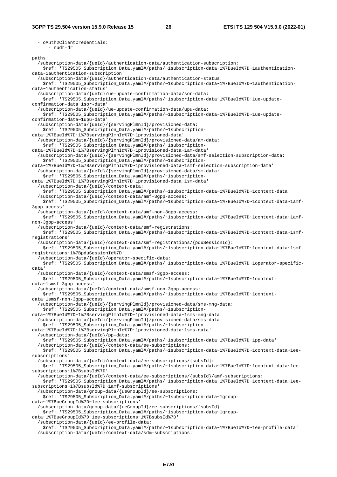- oAuth2ClientCredentials: - nudr-dr paths: /subscription-data/{ueId}/authentication-data/authentication-subscription: \$ref: 'TS29505\_Subscription\_Data.yaml#/paths/~1subscription-data~1%7BueId%7D~1authenticationdata~1authentication-subscription' /subscription-data/{ueId}/authentication-data/authentication-status: \$ref: 'TS29505\_Subscription\_Data.yaml#/paths/~1subscription-data~1%7BueId%7D~1authenticationdata~1authentication-status' /subscription-data/{ueId}/ue-update-confirmation-data/sor-data: \$ref: 'TS29505\_Subscription\_Data.yaml#/paths/~1subscription-data~1%7BueId%7D~1ue-updateconfirmation-data~1sor-data' /subscription-data/{ueId}/ue-update-confirmation-data/upu-data: \$ref: 'TS29505\_Subscription\_Data.yaml#/paths/~1subscription-data~1%7BueId%7D~1ue-updateconfirmation-data~1upu-data' /subscription-data/{ueId}/{servingPlmnId}/provisioned-data: \$ref: 'TS29505\_Subscription\_Data.yaml#/paths/~1subscriptiondata~1%7BueId%7D~1%7BservingPlmnId%7D~1provisioned-data' /subscription-data/{ueId}/{servingPlmnId}/provisioned-data/am-data: \$ref: 'TS29505\_Subscription\_Data.yaml#/paths/~1subscriptiondata~1%7BueId%7D~1%7BservingPlmnId%7D~1provisioned-data~1am-data' /subscription-data/{ueId}/{servingPlmnId}/provisioned-data/smf-selection-subscription-data: \$ref: 'TS29505\_Subscription\_Data.yaml#/paths/~1subscriptiondata~1%7BueId%7D~1%7BservingPlmnId%7D~1provisioned-data~1smf-selection-subscription-data' /subscription-data/{ueId}/{servingPlmnId}/provisioned-data/sm-data: \$ref: 'TS29505\_Subscription\_Data.yaml#/paths/~1subscriptiondata~1%7BueId%7D~1%7BservingPlmnId%7D~1provisioned-data~1sm-data' /subscription-data/{ueId}/context-data: \$ref: 'TS29505\_Subscription\_Data.yaml#/paths/~1subscription-data~1%7BueId%7D~1context-data' /subscription-data/{ueId}/context-data/amf-3gpp-access: \$ref: 'TS29505\_Subscription\_Data.yaml#/paths/~1subscription-data~1%7BueId%7D~1context-data~1amf-3gpp-access' /subscription-data/{ueId}/context-data/amf-non-3gpp-access: \$ref: 'TS29505\_Subscription\_Data.yaml#/paths/~1subscription-data~1%7BueId%7D~1context-data~1amfnon-3gpp-access' /subscription-data/{ueId}/context-data/smf-registrations: \$ref: 'TS29505\_Subscription\_Data.yaml#/paths/~1subscription-data~1%7BueId%7D~1context-data~1smfregistrations' /subscription-data/{ueId}/context-data/smf-registrations/{pduSessionId}: \$ref: 'TS29505\_Subscription\_Data.yaml#/paths/~1subscription-data~1%7BueId%7D~1context-data~1smfregistrations~1%7BpduSessionId%7D' /subscription-data/{ueId}/operator-specific-data: \$ref: 'TS29505\_Subscription\_Data.yaml#/paths/~1subscription-data~1%7BueId%7D~1operator-specificdata' /subscription-data/{ueId}/context-data/smsf-3gpp-access: \$ref: 'TS29505\_Subscription\_Data.yaml#/paths/~1subscription-data~1%7BueId%7D~1contextdata~1smsf-3gpp-access' /subscription-data/{ueId}/context-data/smsf-non-3gpp-access: \$ref: 'TS29505\_Subscription\_Data.yaml#/paths/~1subscription-data~1%7BueId%7D~1contextdata~1smsf-non-3gpp-access' /subscription-data/{ueId}/{servingPlmnId}/provisioned-data/sms-mng-data: \$ref: 'TS29505\_Subscription\_Data.yaml#/paths/~1subscriptiondata~1%7BueId%7D~1%7BservingPlmnId%7D~1provisioned-data~1sms-mng-data' /subscription-data/{ueId}/{servingPlmnId}/provisioned-data/sms-data: \$ref: 'TS29505\_Subscription\_Data.yaml#/paths/~1subscriptiondata~1%7BueId%7D~1%7BservingPlmnId%7D~1provisioned-data~1sms-data' /subscription-data/{ueId}/pp-data: \$ref: 'TS29505\_Subscription\_Data.yaml#/paths/~1subscription-data~1%7BueId%7D~1pp-data' /subscription-data/{ueId}/context-data/ee-subscriptions: \$ref: 'TS29505\_Subscription\_Data.yaml#/paths/~1subscription-data~1%7BueId%7D~1context-data~1eesubscriptions' /subscription-data/{ueId}/context-data/ee-subscriptions/{subsId}: \$ref: 'TS29505\_Subscription\_Data.yaml#/paths/~1subscription-data~1%7BueId%7D~1context-data~1eesubscriptions~1%7BsubsId%7D' /subscription-data/{ueId}/context-data/ee-subscriptions/{subsId}/amf-subscriptions: \$ref: 'TS29505\_Subscription\_Data.yaml#/paths/~1subscription-data~1%7BueId%7D~1context-data~1eesubscriptions~1%7BsubsId%7D~1amf-subscriptions' /subscription-data/group-data/{ueGroupId}/ee-subscriptions: \$ref: 'TS29505\_Subscription\_Data.yaml#/paths/~1subscription-data~1groupdata~1%7BueGroupId%7D~1ee-subscriptions' /subscription-data/group-data/{ueGroupId}/ee-subscriptions/{subsId}: \$ref: 'TS29505\_Subscription\_Data.yaml#/paths/~1subscription-data~1groupdata~1%7BueGroupId%7D~1ee-subscriptions~1%7BsubsId%7D' /subscription-data/{ueId}/ee-profile-data: \$ref: 'TS29505\_Subscription\_Data.yaml#/paths/~1subscription-data~1%7BueId%7D~1ee-profile-data' /subscription-data/{ueId}/context-data/sdm-subscriptions: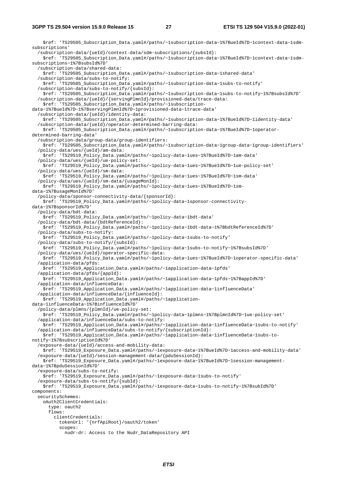\$ref: 'TS29505 Subscription Data.yaml#/paths/~1subscription-data~1%7BueId%7D~1context-data~1sdmsubscriptions' /subscription-data/{ueId}/context-data/sdm-subscriptions/{subsId}: \$ref: 'TS29505\_Subscription\_Data.yaml#/paths/~1subscription-data~1%7BueId%7D~1context-data~1sdmsubscriptions~1%7BsubsId%7D' /subscription-data/shared-data: \$ref: 'TS29505\_Subscription\_Data.yaml#/paths/~1subscription-data~1shared-data' /subscription-data/subs-to-notify: \$ref: 'TS29505\_Subscription\_Data.yaml#/paths/~1subscription-data~1subs-to-notify' /subscription-data/subs-to-notify/{subsId}: \$ref: 'TS29505\_Subscription\_Data.yaml#/paths/~1subscription-data~1subs-to-notify~1%7BsubsId%7D' /subscription-data/{ueId}/{servingPlmnId}/provisioned-data/trace-data: \$ref: 'TS29505\_Subscription\_Data.yaml#/paths/~1subscriptiondata~1%7BueId%7D~1%7BservingPlmnId%7D~1provisioned-data~1trace-data' /subscription-data/{ueId}/identity-data: \$ref: 'TS29505\_Subscription\_Data.yaml#/paths/~1subscription-data~1%7BueId%7D~1identity-data' /subscription-data/{ueId}/operator-determined-barring-data: \$ref: 'TS29505\_Subscription\_Data.yaml#/paths/~1subscription-data~1%7BueId%7D~1operatordetermined-barring-data' /subscription-data/group-data/group-identifiers: \$ref: 'TS29505\_Subscription\_Data.yaml#/paths/~1subscription-data~1group-data~1group-identifiers' /policy-data/ues/{ueId}/am-data: \$ref: 'TS29519\_Policy\_Data.yaml#/paths/~1policy-data~1ues~1%7BueId%7D~1am-data' /policy-data/ues/{ueId}/ue-policy-set: \$ref: 'TS29519\_Policy\_Data.yaml#/paths/~1policy-data~1ues~1%7BueId%7D~1ue-policy-set' /policy-data/ues/{ueId}/sm-data: \$ref: 'TS29519\_Policy\_Data.yaml#/paths/~1policy-data~1ues~1%7BueId%7D~1sm-data' /policy-data/ues/{ueId}/sm-data/{usageMonId}: \$ref: 'TS29519\_Policy\_Data.yaml#/paths/~1policy-data~1ues~1%7BueId%7D~1smdata~1%7BusageMonId%7D' /policy-data/sponsor-connectivity-data/{sponsorId}: \$ref: 'TS29519\_Policy\_Data.yaml#/paths/~1policy-data~1sponsor-connectivitydata~1%7BsponsorId%7D' /policy-data/bdt-data: \$ref: 'TS29519\_Policy\_Data.yaml#/paths/~1policy-data~1bdt-data' /policy-data/bdt-data/{bdtReferenceId}: \$ref: 'TS29519\_Policy\_Data.yaml#/paths/~1policy-data~1bdt-data~1%7BbdtReferenceId%7D' /policy-data/subs-to-notify: \$ref: 'TS29519\_Policy\_Data.yaml#/paths/~1policy-data~1subs-to-notify' /policy-data/subs-to-notify/{subsId}: \$ref: 'TS29519\_Policy\_Data.yaml#/paths/~1policy-data~1subs-to-notify~1%7BsubsId%7D' /policy-data/ues/{ueId}/operator-specific-data: \$ref: 'TS29519\_Policy\_Data.yaml#/paths/~1policy-data~1ues~1%7BueId%7D~1operator-specific-data' /application-data/pfds: \$ref: 'TS29519\_Application\_Data.yaml#/paths/~1application-data~1pfds' /application-data/pfds/{appId}: \$ref: 'TS29519\_Application\_Data.yaml#/paths/~1application-data~1pfds~1%7BappId%7D' /application-data/influenceData: \$ref: 'TS29519\_Application\_Data.yaml#/paths/~1application-data~1influenceData' /application-data/influenceData/{influenceId}: \$ref: 'TS29519\_Application\_Data.yaml#/paths/~1applicationdata~1influenceData~1%7BinfluenceId%7D' /policy-data/plmns/{plmnId}/ue-policy-set: \$ref: 'TS29519\_Policy\_Data.yaml#/paths/~1policy-data~1plmns~1%7BplmnId%7D~1ue-policy-set' /application-data/influenceData/subs-to-notify: \$ref: 'TS29519\_Application\_Data.yaml#/paths/~1application-data~1influenceData~1subs-to-notify' /application-data/influenceData/subs-to-notify/{subscriptionId}: \$ref: 'TS29519\_Application\_Data.yaml#/paths/~1application-data~1influenceData~1subs-tonotify~1%7BsubscriptionId%7D' /exposure-data/{ueId}/access-and-mobility-data: \$ref: 'TS29519\_Exposure\_Data.yaml#/paths/~1exposure-data~1%7BueId%7D~1access-and-mobility-data' /exposure-data/{ueId}/session-management-data/{pduSessionId}: \$ref: 'TS29519\_Exposure\_Data.yaml#/paths/~1exposure-data~1%7BueId%7D~1session-managementdata~1%7BpduSessionId%7D' /exposure-data/subs-to-notify: \$ref: 'TS29519\_Exposure\_Data.yaml#/paths/~1exposure-data~1subs-to-notify' /exposure-data/subs-to-notify/{subId}: \$ref: 'TS29519\_Exposure\_Data.yaml#/paths/~1exposure-data~1subs-to-notify~1%7BsubId%7D' components: securitySchemes: oAuth2ClientCredentials: type: oauth2 flows: clientCredentials: tokenUrl: '{nrfApiRoot}/oauth2/token' scopes: nudr-dr: Access to the Nudr\_DataRepository API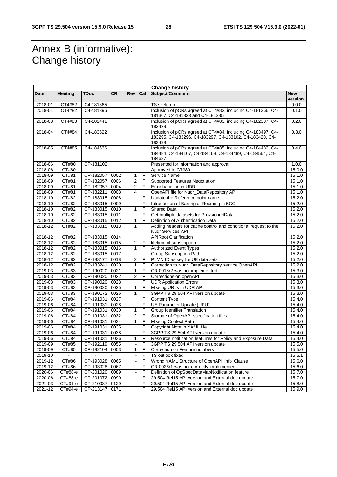# Annex B (informative): Change history

| Change history |                |                          |           |                |                |                                                                                                                                    |            |  |
|----------------|----------------|--------------------------|-----------|----------------|----------------|------------------------------------------------------------------------------------------------------------------------------------|------------|--|
| Date           | <b>Meeting</b> | <b>TDoc</b>              | <b>CR</b> | Rev            | Cat            | Subject/Comment                                                                                                                    | <b>New</b> |  |
|                |                |                          |           |                |                |                                                                                                                                    | version    |  |
| 2018-01        | CT4#82         | $\overline{C4 - 181365}$ |           |                |                | <b>TS</b> skeleton                                                                                                                 | 0.0.0      |  |
| 2018-01        | CT4#82         | C4-181396                |           |                |                | Inclusion of pCRs agreed at CT4#82, including C4-181366, C4-<br>181367, C4-181323 and C4-181385.                                   | 0.1.0      |  |
| 2018-03        | CT4#83         | $C4 - 182441$            |           |                |                | Inclusion of pCRs agreed at CT4#83, including C4-182337, C4-<br>182429.                                                            | 0.2.0      |  |
| 2018-04        | CT4#84         | C4-183522                |           |                |                | Inclusion of pCRs agreed at CT4#84, including C4-183497, C4-                                                                       | 0.3.0      |  |
|                |                |                          |           |                |                | 183295, C4-183296, C4-183297, C4-183102, C4-183420, C4-<br>183498.                                                                 |            |  |
| 2018-05        | CT4#85         | C4-184636                |           |                |                | Inclusion of pCRs agreed at CT4#85, including C4-184482, C4-<br>184484, C4-184167, C4-184168, C4-184489, C4-184564, C4-<br>184637. | 0.4.0      |  |
| 2018-06        | CT#80          | CP-181102                |           |                |                | Presented for information and approval                                                                                             | 1.0.0      |  |
| 2018-06        | CT#80          |                          |           |                |                | Approved in CT#80.                                                                                                                 | 15.0.0     |  |
| 2018-09        | CT#81          | CP-182057                | 0002      | 1              | F              | Service Name                                                                                                                       | 15.1.0     |  |
| 2018-09        | CT#81          | CP-182057                | 0006      | $\overline{2}$ | F              | Supported Features Negotiation                                                                                                     | 15.1.0     |  |
| 2018-09        | CT#81          | CP-182057                | 0004      | $\overline{2}$ | F              | Error handling in UDR                                                                                                              | 15.1.0     |  |
| 2018-09        | CT#81          | CP-182211                | 0003      | $\overline{4}$ |                | OpenAPI file for Nudr_DataRepository API                                                                                           | 15.1.0     |  |
| 2018-10        | CT#82          | CP-183015                | 0008      |                | F              | Update the Reference point name                                                                                                    | 15.2.0     |  |
| 2018-10        | CT#82          | CP-183015 0009           |           |                | F              | Introduction of Barring of Roaming in 5GC                                                                                          | 15.2.0     |  |
| 2018-10        | CT#82          | CP-183015                | 0010      | 1              | F              | Shared Data                                                                                                                        | 15.2.0     |  |
| 2018-10        | CT#82          | CP-183015 0011           |           |                | F              | Get multiple datasets for ProvsionedData                                                                                           | 15.2.0     |  |
| 2018-10        | CT#82          | CP-183015                | 0012      | 1              | F              | Definition of Authentication Data                                                                                                  | 15.2.0     |  |
| 2018-12        | CT#82          | CP-183015                | 0013      | 1              | F              | Adding headers for cache control and conditional request to the<br>Nudr Services API                                               | 15.2.0     |  |
| 2018-12        | CT#82          | CP-183015 0014           |           |                |                | <b>APIRoot Clarification</b>                                                                                                       | 15.2.0     |  |
| 2018-12        | CT#82          | CP-183015 0015           |           | 2              | F              | lifetime of subscription                                                                                                           | 15.2.0     |  |
| 2018-12        | CT#82          | CP-183015 0016           |           | $\mathbf{1}$   | F              | <b>Authorized Event Types</b>                                                                                                      | 15.2.0     |  |
| 2018-12        | CT#82          | CP-183015 0017           |           |                |                | Group Subscription Path                                                                                                            | 15.2.0     |  |
| 2018-12        | CT#82          | CP-183177                | 0018      | 2              | F              | PLMN ID as key for UE data sets                                                                                                    | 15.2.0     |  |
| 2018-12        | CT#82          | CP-183241                | 0020      | 1              | F              | Correction to Nudr_DataRepository service OpenAPI                                                                                  | 15.2.0     |  |
| 2019-03        | CT#83          | CP-190020 0021           |           | $\mathbf{1}$   | F              | CR 0018r2 was not implemented                                                                                                      | 15.3.0     |  |
| 2019-03        | CT#83          | CP-190020 0022           |           | $\overline{c}$ | F              | Corrections on openAPI                                                                                                             | 15.3.0     |  |
| 2019-03        | CT#83          | CP-190020 0023           |           |                | F              | <b>UDR Application Errors</b>                                                                                                      | 15.3.0     |  |
| 2019-03        | CT#83          | CP-190020 0025           |           | 1              | F              | Missing URLs in UDR API                                                                                                            | 15.3.0     |  |
| 2019-03        | CT#83          | CP-190172 0026           |           | 1              |                | 3GPP TS 29.504 API version update                                                                                                  | 15.3.0     |  |
| 2019-06        | CT#84          | CP-191031                | 0027      |                | F              | Content Type                                                                                                                       | 15.4.0     |  |
| 2019-06        | CT#84          | CP-191031                | 0028      |                | F              | UE Parameter Update (UPU)                                                                                                          | 15.4.0     |  |
| 2019-06        | CT#84          | CP-191031                | 0030      | 1              | F              | Group Identifier Translation                                                                                                       | 15.4.0     |  |
| 2019-06        | CT#84          | CP-191031                | 0032      | $\overline{2}$ | F              | Storage of OpenAPI specification files                                                                                             | 15.4.0     |  |
| 2019-06        | CT#84          | CP-191031                | 0034      | $\mathbf{1}$   | $\mathsf F$    | <b>Missing Context Path</b>                                                                                                        | 15.4.0     |  |
| 2019-06        | CT#84          | CP-191031                | 0035      |                | F              | Copyright Note in YAML file                                                                                                        | 15.4.0     |  |
| 2019-06        | CT#84          | CP-191031                | 0038      |                | F              | 3GPP TS 29.504 API version update                                                                                                  | 15.4.0     |  |
| 2019-06        | C1#84          | CP-191031   0036         |           | 1              | F              | Resource notification featurres for Policy and Exposure Data                                                                       | 15.4.0     |  |
| 2019-09        | CT#85          | CP-192119 0055           |           |                | F              | 3GPP TS 29.504 API version update                                                                                                  | 15.5.0     |  |
| 2019-09        | CT#85          | CP-192104 0053           |           | 1              | F              | Correction on Feature numbers                                                                                                      | 15.5.0     |  |
| 2019-10        | $\sim$         |                          |           |                | $\blacksquare$ | <b>TS</b> outlook fixed                                                                                                            | 15.5.1     |  |
| 2019-12        | CT#86          | CP-193028 0065           |           |                | F              | Wrong YAML Structure of OpenAPI 'info' Clause                                                                                      | 15.6.0     |  |
| $2019 - 12$    | CT#86          | CP-193028 0067           |           |                | F              | CR 0026r1 was not correctly implemented                                                                                            | 15.6.0     |  |
| 2020-06        | CT#88-e        | CP-201020 0089           |           |                | F              | Definition of OpSpecDataMapNotification feature                                                                                    | 15.7.0     |  |
| 2020-06        | CT#88-e        | CP-201072 0099           |           |                | F              | 29.504 Rel15 API version and External doc update                                                                                   | 15.7.0     |  |
| 2021-03        | СТ#91-е        | CP-210087 0129           |           |                | F              | 29.504 Rel15 API version and External doc update                                                                                   | 15.8.0     |  |
| 2021-12        | CT#94-e        | CP-213147 0171           |           |                | F              | 29.504 Rel15 API version and External doc update                                                                                   | 15.9.0     |  |